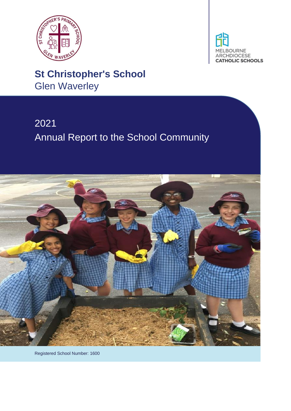



# **St Christopher's School** Glen Waverley

# 2021 Annual Report to the School Community



Registered School Number: 1600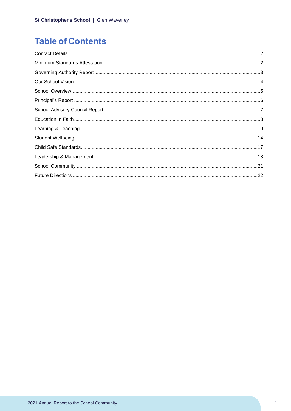# **Table of Contents**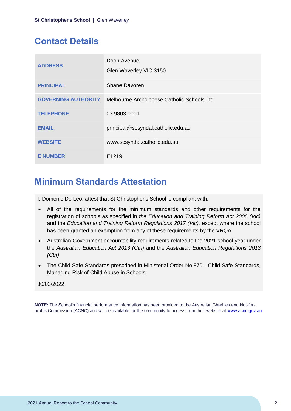# <span id="page-2-0"></span>**Contact Details**

| <b>ADDRESS</b>             | Doon Avenue<br>Glen Waverley VIC 3150      |
|----------------------------|--------------------------------------------|
| <b>PRINCIPAL</b>           | <b>Shane Davoren</b>                       |
| <b>GOVERNING AUTHORITY</b> | Melbourne Archdiocese Catholic Schools Ltd |
| <b>TELEPHONE</b>           | 03 9803 0011                               |
| <b>EMAIL</b>               | principal@scsyndal.catholic.edu.au         |
| <b>WEBSITE</b>             | www.scsyndal.catholic.edu.au               |
| <b>E NUMBER</b>            | E1219                                      |

### <span id="page-2-1"></span>**Minimum Standards Attestation**

I, Domenic De Leo, attest that St Christopher's School is compliant with:

- All of the requirements for the minimum standards and other requirements for the registration of schools as specified in *the Education and Training Reform Act 2006 (Vic)* and the *Education and Training Reform Regulations 2017 (Vic),* except where the school has been granted an exemption from any of these requirements by the VRQA
- Australian Government accountability requirements related to the 2021 school year under the *Australian Education Act 2013 (Cth)* and the *Australian Education Regulations 2013 (Cth)*
- The Child Safe Standards prescribed in Ministerial Order No.870 Child Safe Standards, Managing Risk of Child Abuse in Schools.

### 30/03/2022

**NOTE:** The School's financial performance information has been provided to the Australian Charities and Not-forprofits Commission (ACNC) and will be available for the community to access from their website at [www.acnc.gov.au](http://www.acnc.gov.au/)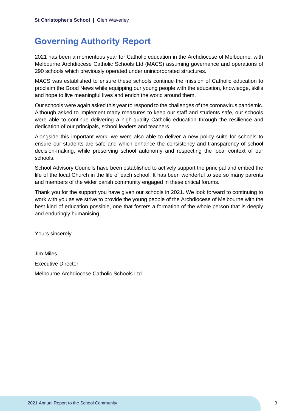# <span id="page-3-0"></span>**Governing Authority Report**

2021 has been a momentous year for Catholic education in the Archdiocese of Melbourne, with Melbourne Archdiocese Catholic Schools Ltd (MACS) assuming governance and operations of 290 schools which previously operated under unincorporated structures.

MACS was established to ensure these schools continue the mission of Catholic education to proclaim the Good News while equipping our young people with the education, knowledge, skills and hope to live meaningful lives and enrich the world around them.

Our schools were again asked this year to respond to the challenges of the coronavirus pandemic. Although asked to implement many measures to keep our staff and students safe, our schools were able to continue delivering a high-quality Catholic education through the resilience and dedication of our principals, school leaders and teachers.

Alongside this important work, we were also able to deliver a new policy suite for schools to ensure our students are safe and which enhance the consistency and transparency of school decision-making, while preserving school autonomy and respecting the local context of our schools.

School Advisory Councils have been established to actively support the principal and embed the life of the local Church in the life of each school. It has been wonderful to see so many parents and members of the wider parish community engaged in these critical forums.

Thank you for the support you have given our schools in 2021. We look forward to continuing to work with you as we strive to provide the young people of the Archdiocese of Melbourne with the best kind of education possible, one that fosters a formation of the whole person that is deeply and enduringly humanising.

Yours sincerely

Jim Miles Executive Director Melbourne Archdiocese Catholic Schools Ltd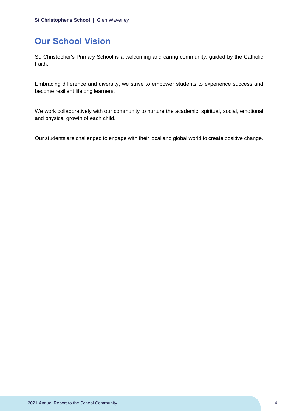# <span id="page-4-0"></span>**Our School Vision**

St. Christopher's Primary School is a welcoming and caring community, guided by the Catholic Faith.

Embracing difference and diversity, we strive to empower students to experience success and become resilient lifelong learners.

We work collaboratively with our community to nurture the academic, spiritual, social, emotional and physical growth of each child.

Our students are challenged to engage with their local and global world to create positive change.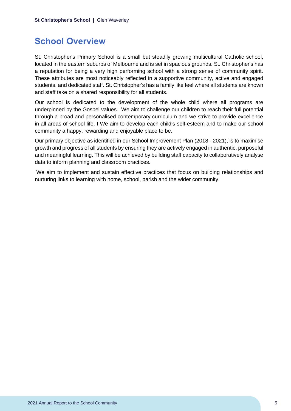### <span id="page-5-0"></span>**School Overview**

St. Christopher's Primary School is a small but steadily growing multicultural Catholic school, located in the eastern suburbs of Melbourne and is set in spacious grounds. St. Christopher's has a reputation for being a very high performing school with a strong sense of community spirit. These attributes are most noticeably reflected in a supportive community, active and engaged students, and dedicated staff. St. Christopher's has a family like feel where all students are known and staff take on a shared responsibility for all students.

Our school is dedicated to the development of the whole child where all programs are underpinned by the Gospel values. We aim to challenge our children to reach their full potential through a broad and personalised contemporary curriculum and we strive to provide excellence in all areas of school life. I We aim to develop each child's self-esteem and to make our school community a happy, rewarding and enjoyable place to be.

Our primary objective as identified in our School Improvement Plan (2018 - 2021), is to maximise growth and progress of all students by ensuring they are actively engaged in authentic, purposeful and meaningful learning. This will be achieved by building staff capacity to collaboratively analyse data to inform planning and classroom practices.

We aim to implement and sustain effective practices that focus on building relationships and nurturing links to learning with home, school, parish and the wider community.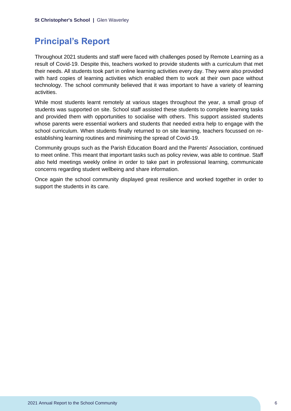# <span id="page-6-0"></span>**Principal's Report**

Throughout 2021 students and staff were faced with challenges posed by Remote Learning as a result of Covid-19. Despite this, teachers worked to provide students with a curriculum that met their needs. All students took part in online learning activities every day. They were also provided with hard copies of learning activities which enabled them to work at their own pace without technology. The school community believed that it was important to have a variety of learning activities.

While most students learnt remotely at various stages throughout the year, a small group of students was supported on site. School staff assisted these students to complete learning tasks and provided them with opportunities to socialise with others. This support assisted students whose parents were essential workers and students that needed extra help to engage with the school curriculum. When students finally returned to on site learning, teachers focussed on reestablishing learning routines and minimising the spread of Covid-19.

Community groups such as the Parish Education Board and the Parents' Association, continued to meet online. This meant that important tasks such as policy review, was able to continue. Staff also held meetings weekly online in order to take part in professional learning, communicate concerns regarding student wellbeing and share information.

Once again the school community displayed great resilience and worked together in order to support the students in its care.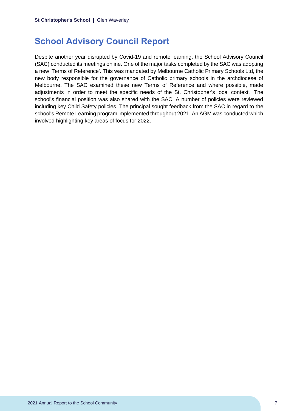### <span id="page-7-0"></span>**School Advisory Council Report**

Despite another year disrupted by Covid-19 and remote learning, the School Advisory Council (SAC) conducted its meetings online. One of the major tasks completed by the SAC was adopting a new 'Terms of Reference'. This was mandated by Melbourne Catholic Primary Schools Ltd, the new body responsible for the governance of Catholic primary schools in the archdiocese of Melbourne. The SAC examined these new Terms of Reference and where possible, made adjustments in order to meet the specific needs of the St. Christopher's local context. The school's financial position was also shared with the SAC. A number of policies were reviewed including key Child Safety policies. The principal sought feedback from the SAC in regard to the school's Remote Learning program implemented throughout 2021. An AGM was conducted which involved highlighting key areas of focus for 2022.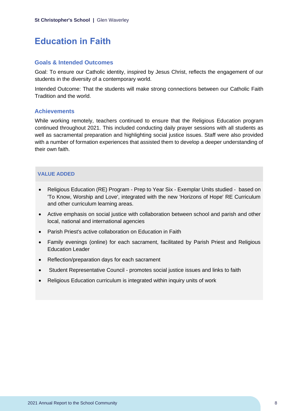# <span id="page-8-0"></span>**Education in Faith**

### **Goals & Intended Outcomes**

Goal: To ensure our Catholic identity, inspired by Jesus Christ, reflects the engagement of our students in the diversity of a contemporary world.

Intended Outcome: That the students will make strong connections between our Catholic Faith Tradition and the world.

#### **Achievements**

While working remotely, teachers continued to ensure that the Religious Education program continued throughout 2021. This included conducting daily prayer sessions with all students as well as sacramental preparation and highlighting social justice issues. Staff were also provided with a number of formation experiences that assisted them to develop a deeper understanding of their own faith.

### **VALUE ADDED**

- Religious Education (RE) Program Prep to Year Six Exemplar Units studied based on 'To Know, Worship and Love', integrated with the new 'Horizons of Hope' RE Curriculum and other curriculum learning areas.
- Active emphasis on social justice with collaboration between school and parish and other local, national and international agencies
- Parish Priest's active collaboration on Education in Faith
- Family evenings (online) for each sacrament, facilitated by Parish Priest and Religious Education Leader
- Reflection/preparation days for each sacrament
- Student Representative Council promotes social justice issues and links to faith
- Religious Education curriculum is integrated within inquiry units of work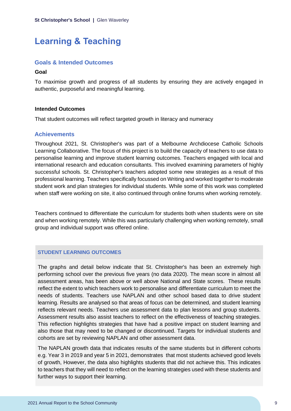# <span id="page-9-0"></span>**Learning & Teaching**

#### **Goals & Intended Outcomes**

#### **Goal**

To maximise growth and progress of all students by ensuring they are actively engaged in authentic, purposeful and meaningful learning.

#### **Intended Outcomes**

That student outcomes will reflect targeted growth in literacy and numeracy

#### **Achievements**

Throughout 2021, St. Christopher's was part of a Melbourne Archdiocese Catholic Schools Learning Collaborative. The focus of this project is to build the capacity of teachers to use data to personalise learning and improve student learning outcomes. Teachers engaged with local and international research and education consultants. This involved examining parameters of highly successful schools. St. Christopher's teachers adopted some new strategies as a result of this professional learning. Teachers specifically focussed on Writing and worked together to moderate student work and plan strategies for individual students. While some of this work was completed when staff were working on site, it also continued through online forums when working remotely.

Teachers continued to differentiate the curriculum for students both when students were on site and when working remotely. While this was particularly challenging when working remotely, small group and individual support was offered online.

#### **STUDENT LEARNING OUTCOMES**

The graphs and detail below indicate that St. Christopher's has been an extremely high performing school over the previous five years (no data 2020). The mean score in almost all assessment areas, has been above or well above National and State scores. These results reflect the extent to which teachers work to personalise and differentiate curriculum to meet the needs of students. Teachers use NAPLAN and other school based data to drive student learning. Results are analysed so that areas of focus can be determined, and student learning reflects relevant needs. Teachers use assessment data to plan lessons and group students. Assessment results also assist teachers to reflect on the effectiveness of teaching strategies. This reflection highlights strategies that have had a positive impact on student learning and also those that may need to be changed or discontinued. Targets for individual students and cohorts are set by reviewing NAPLAN and other assessment data.

The NAPLAN growth data that indicates results of the same students but in different cohorts e.g. Year 3 in 2019 and year 5 in 2021, demonstrates that most students achieved good levels of growth, However, the data also highlights students that did not achieve this. This indicates to teachers that they will need to reflect on the learning strategies used with these students and further ways to support their learning.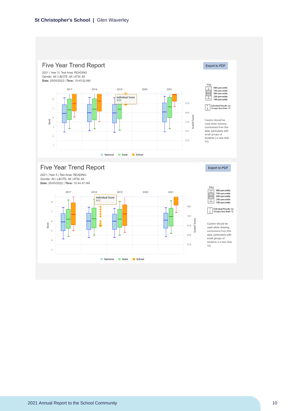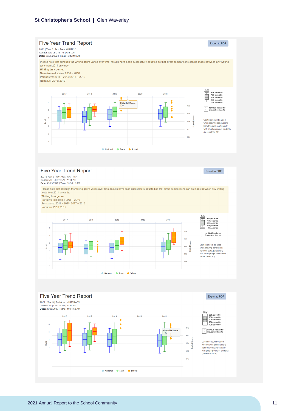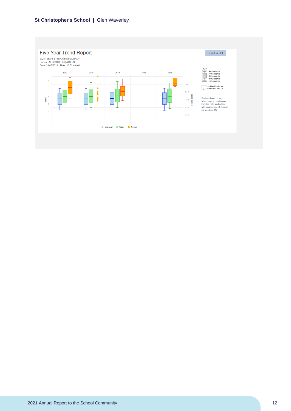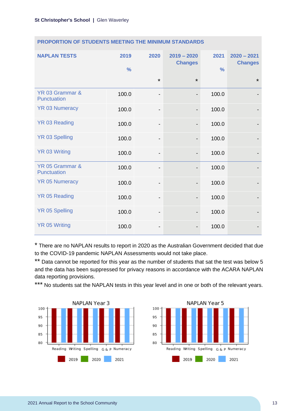| <b>NAPLAN TESTS</b>                   | 2019<br>$\frac{0}{0}$ | 2020                         | $2019 - 2020$<br><b>Changes</b> | 2021<br>$\frac{9}{6}$ | $2020 - 2021$<br><b>Changes</b> |
|---------------------------------------|-----------------------|------------------------------|---------------------------------|-----------------------|---------------------------------|
|                                       |                       | $\star$                      | $\star$                         |                       | $\star$                         |
| YR 03 Grammar &<br><b>Punctuation</b> | 100.0                 | $\qquad \qquad \blacksquare$ | $\overline{\phantom{a}}$        | 100.0                 |                                 |
| <b>YR 03 Numeracy</b>                 | 100.0                 | $\overline{\phantom{0}}$     | $\overline{\phantom{0}}$        | 100.0                 |                                 |
| YR 03 Reading                         | 100.0                 | $\overline{\phantom{a}}$     | $\overline{\phantom{a}}$        | 100.0                 |                                 |
| <b>YR 03 Spelling</b>                 | 100.0                 | $\overline{\phantom{a}}$     | $\overline{\phantom{a}}$        | 100.0                 |                                 |
| YR 03 Writing                         | 100.0                 | $\qquad \qquad \blacksquare$ | $\qquad \qquad \blacksquare$    | 100.0                 |                                 |
| YR 05 Grammar &<br>Punctuation        | 100.0                 | -                            |                                 | 100.0                 |                                 |
| <b>YR 05 Numeracy</b>                 | 100.0                 | $\qquad \qquad \blacksquare$ | $\overline{\phantom{a}}$        | 100.0                 |                                 |
| YR 05 Reading                         | 100.0                 | -                            |                                 | 100.0                 |                                 |
| <b>YR 05 Spelling</b>                 | 100.0                 | $\overline{\phantom{a}}$     |                                 | 100.0                 |                                 |
| <b>YR 05 Writing</b>                  | 100.0                 | -                            |                                 | 100.0                 |                                 |

#### **PROPORTION OF STUDENTS MEETING THE MINIMUM STANDARDS**

\* There are no NAPLAN results to report in 2020 as the Australian Government decided that due to the COVID-19 pandemic NAPLAN Assessments would not take place.

\*\* Data cannot be reported for this year as the number of students that sat the test was below 5 and the data has been suppressed for privacy reasons in accordance with the ACARA NAPLAN data reporting provisions.

\*\*\* No students sat the NAPLAN tests in this year level and in one or both of the relevant years.



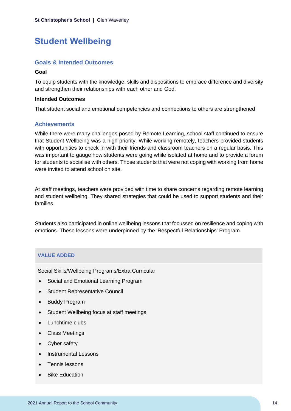# <span id="page-14-0"></span>**Student Wellbeing**

#### **Goals & Intended Outcomes**

#### **Goal**

To equip students with the knowledge, skills and dispositions to embrace difference and diversity and strengthen their relationships with each other and God.

#### **Intended Outcomes**

That student social and emotional competencies and connections to others are strengthened

#### **Achievements**

While there were many challenges posed by Remote Learning, school staff continued to ensure that Student Wellbeing was a high priority. While working remotely, teachers provided students with opportunities to check in with their friends and classroom teachers on a regular basis. This was important to gauge how students were going while isolated at home and to provide a forum for students to socialise with others. Those students that were not coping with working from home were invited to attend school on site.

At staff meetings, teachers were provided with time to share concerns regarding remote learning and student wellbeing. They shared strategies that could be used to support students and their families.

Students also participated in online wellbeing lessons that focussed on resilience and coping with emotions. These lessons were underpinned by the 'Respectful Relationships' Program.

### **VALUE ADDED**

Social Skills/Wellbeing Programs/Extra Curricular

- Social and Emotional Learning Program
- Student Representative Council
- Buddy Program
- Student Wellbeing focus at staff meetings
- Lunchtime clubs
- Class Meetings
- Cyber safety
- Instrumental Lessons
- Tennis lessons
- Bike Education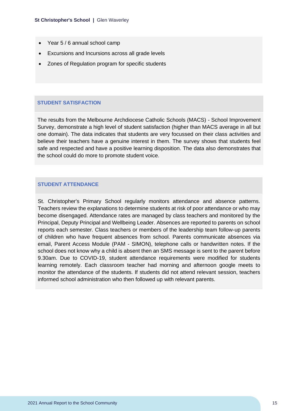- Year 5 / 6 annual school camp
- Excursions and Incursions across all grade levels
- Zones of Regulation program for specific students

#### **STUDENT SATISFACTION**

The results from the Melbourne Archdiocese Catholic Schools (MACS) - School Improvement Survey, demonstrate a high level of student satisfaction (higher than MACS average in all but one domain). The data indicates that students are very focussed on their class activities and believe their teachers have a genuine interest in them. The survey shows that students feel safe and respected and have a positive learning disposition. The data also demonstrates that the school could do more to promote student voice.

#### **STUDENT ATTENDANCE**

St. Christopher's Primary School regularly monitors attendance and absence patterns. Teachers review the explanations to determine students at risk of poor attendance or who may become disengaged. Attendance rates are managed by class teachers and monitored by the Principal, Deputy Principal and Wellbeing Leader. Absences are reported to parents on school reports each semester. Class teachers or members of the leadership team follow-up parents of children who have frequent absences from school. Parents communicate absences via email, Parent Access Module (PAM - SIMON), telephone calls or handwritten notes. If the school does not know why a child is absent then an SMS message is sent to the parent before 9.30am. Due to COVID-19, student attendance requirements were modified for students learning remotely. Each classroom teacher had morning and afternoon google meets to monitor the attendance of the students. If students did not attend relevant session, teachers informed school administration who then followed up with relevant parents.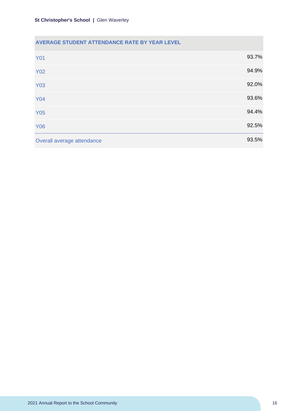### **AVERAGE STUDENT ATTENDANCE RATE BY YEAR LEVEL**

| <b>Y01</b>                 | 93.7% |
|----------------------------|-------|
| <b>Y02</b>                 | 94.9% |
| <b>Y03</b>                 | 92.0% |
| <b>Y04</b>                 | 93.6% |
| <b>Y05</b>                 | 94.4% |
| <b>Y06</b>                 | 92.5% |
| Overall average attendance | 93.5% |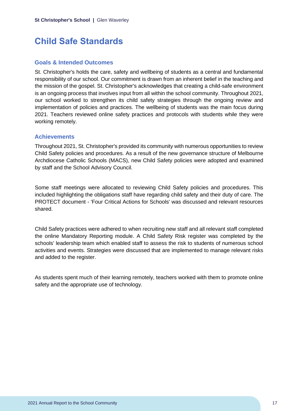# <span id="page-17-0"></span>**Child Safe Standards**

### **Goals & Intended Outcomes**

St. Christopher's holds the care, safety and wellbeing of students as a central and fundamental responsibility of our school. Our commitment is drawn from an inherent belief in the teaching and the mission of the gospel. St. Christopher's acknowledges that creating a child-safe environment is an ongoing process that involves input from all within the school community. Throughout 2021, our school worked to strengthen its child safety strategies through the ongoing review and implementation of policies and practices. The wellbeing of students was the main focus during 2021. Teachers reviewed online safety practices and protocols with students while they were working remotely.

### **Achievements**

Throughout 2021, St. Christopher's provided its community with numerous opportunities to review Child Safety policies and procedures. As a result of the new governance structure of Melbourne Archdiocese Catholic Schools (MACS), new Child Safety policies were adopted and examined by staff and the School Advisory Council.

Some staff meetings were allocated to reviewing Child Safety policies and procedures. This included highlighting the obligations staff have regarding child safety and their duty of care. The PROTECT document - 'Four Critical Actions for Schools' was discussed and relevant resources shared.

Child Safety practices were adhered to when recruiting new staff and all relevant staff completed the online Mandatory Reporting module. A Child Safety Risk register was completed by the schools' leadership team which enabled staff to assess the risk to students of numerous school activities and events. Strategies were discussed that are implemented to manage relevant risks and added to the register.

As students spent much of their learning remotely, teachers worked with them to promote online safety and the appropriate use of technology.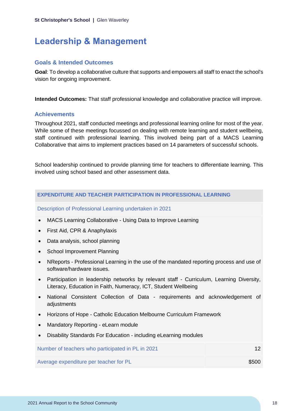# <span id="page-18-0"></span>**Leadership & Management**

### **Goals & Intended Outcomes**

**Goal**: To develop a collaborative culture that supports and empowers all staff to enact the school's vision for ongoing improvement.

**Intended Outcomes:** That staff professional knowledge and collaborative practice will improve.

### **Achievements**

Throughout 2021, staff conducted meetings and professional learning online for most of the year. While some of these meetings focussed on dealing with remote learning and student wellbeing, staff continued with professional learning. This involved being part of a MACS Learning Collaborative that aims to implement practices based on 14 parameters of successful schools.

School leadership continued to provide planning time for teachers to differentiate learning. This involved using school based and other assessment data.

#### **EXPENDITURE AND TEACHER PARTICIPATION IN PROFESSIONAL LEARNING**

Description of Professional Learning undertaken in 2021

- MACS Learning Collaborative Using Data to Improve Learning
- First Aid, CPR & Anaphylaxis
- Data analysis, school planning
- School Improvement Planning
- NReports Professional Learning in the use of the mandated reporting process and use of software/hardware issues.
- Participation in leadership networks by relevant staff Curriculum, Learning Diversity, Literacy, Education in Faith, Numeracy, ICT, Student Wellbeing
- National Consistent Collection of Data requirements and acknowledgement of adjustments
- Horizons of Hope Catholic Education Melbourne Curriculum Framework
- Mandatory Reporting eLearn module
- Disability Standards For Education including eLearning modules

| Number of teachers who participated in PL in 2021 |       |
|---------------------------------------------------|-------|
| Average expenditure per teacher for PL            | \$500 |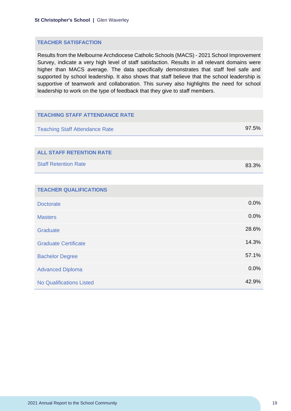#### **TEACHER SATISFACTION**

Results from the Melbourne Archdiocese Catholic Schools (MACS) - 2021 School Improvement Survey, indicate a very high level of staff satisfaction. Results in all relevant domains were higher than MACS average. The data specifically demonstrates that staff feel safe and supported by school leadership. It also shows that staff believe that the school leadership is supportive of teamwork and collaboration. This survey also highlights the need for school leadership to work on the type of feedback that they give to staff members.

| <b>TEACHING STAFF ATTENDANCE RATE</b> |       |
|---------------------------------------|-------|
| <b>Teaching Staff Attendance Rate</b> | 97.5% |
|                                       |       |
| <b>ALL STAFF RETENTION RATE</b>       |       |
| <b>Staff Retention Rate</b>           | 83.3% |
|                                       |       |
| <b>TEACHER QUALIFICATIONS</b>         |       |
| <b>Doctorate</b>                      | 0.0%  |
| <b>Masters</b>                        | 0.0%  |
| Graduate                              | 28.6% |
| <b>Graduate Certificate</b>           | 14.3% |
| <b>Bachelor Degree</b>                | 57.1% |
| <b>Advanced Diploma</b>               | 0.0%  |
| <b>No Qualifications Listed</b>       | 42.9% |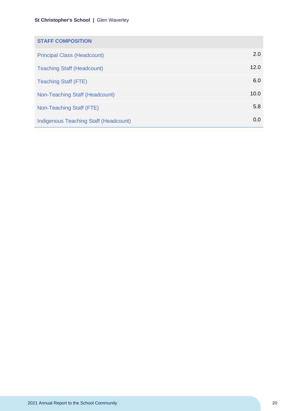| <b>STAFF COMPOSITION</b>                     |      |
|----------------------------------------------|------|
| <b>Principal Class (Headcount)</b>           | 2.0  |
| <b>Teaching Staff (Headcount)</b>            | 12.0 |
| <b>Teaching Staff (FTE)</b>                  | 6.0  |
| Non-Teaching Staff (Headcount)               | 10.0 |
| Non-Teaching Staff (FTE)                     | 5.8  |
| <b>Indigenous Teaching Staff (Headcount)</b> | 0.0  |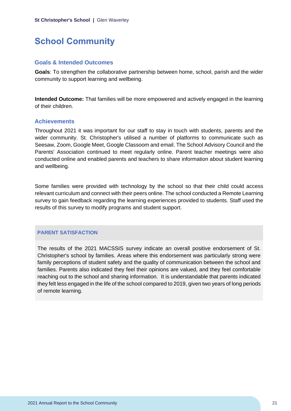# <span id="page-21-0"></span>**School Community**

#### **Goals & Intended Outcomes**

**Goals**: To strengthen the collaborative partnership between home, school, parish and the wider community to support learning and wellbeing.

**Intended Outcome:** That families will be more empowered and actively engaged in the learning of their children.

#### **Achievements**

Throughout 2021 it was important for our staff to stay in touch with students, parents and the wider community. St. Christopher's utilised a number of platforms to communicate such as Seesaw, Zoom, Google Meet, Google Classoom and email. The School Advisory Council and the Parents' Association continued to meet regularly online. Parent teacher meetings were also conducted online and enabled parents and teachers to share information about student learning and wellbeing.

Some families were provided with technology by the school so that their child could access relevant curriculum and connect with their peers online. The school conducted a Remote Learning survey to gain feedback regarding the learning experiences provided to students. Staff used the results of this survey to modify programs and student support.

#### **PARENT SATISFACTION**

The results of the 2021 MACSSIS survey indicate an overall positive endorsement of St. Christopher's school by families. Areas where this endorsement was particularly strong were family perceptions of student safety and the quality of communication between the school and families. Parents also indicated they feel their opinions are valued, and they feel comfortable reaching out to the school and sharing information. It is understandable that parents indicated they felt less engaged in the life of the school compared to 2019, given two years of long periods of remote learning.